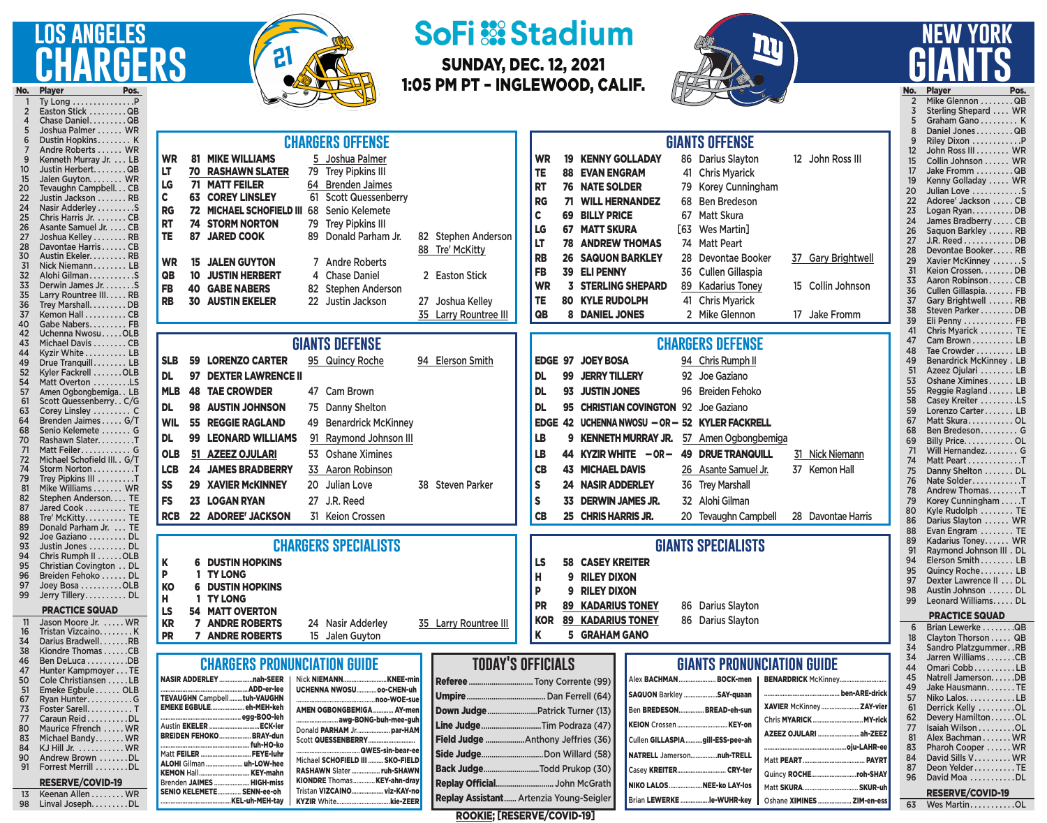## **los angeles chargers**



## **SoFi ::: Stadium**

SUNDAY, DEC. 12, 2021 1:05 PM PT – INGLEWOOD, CALIF.



# **new york giants**

No. Player Pos. Ty Long . . . . . . . . . . . . . . . P 2 Easton Stick . . . . . . . . . QB<br>4 Chase Daniel . . . . . . . . QB Chase Daniel. . . . . . . . . QB 5 Joshua Palmer . . . . . . WR<br>6 Dustin Hopkins . . . . . . . K Dustin Hopkins . . . . . . . . K 7 Andre Roberts . . . . . WR<br>9 Kenneth Murray Jr. . . . LB 9 Kenneth Murray Jr. . . . LB<br>10 Justin Herbert. . . . . . . . QB 10 Justin Herbert........QB<br>15 Jalen Guvton........ WR 15 Jalen Guyton. . . . . . . . WR<br>20 Tevaughn Campbell. . . CB 20 Tevaughn Campbell . . . CB Justin Jackson . . . . . . . RB 24 Nasir Adderley . . . . . . . . . S<br>25 Chris Harris Jr. . . . . . . . CB 25 Chris Harris Jr. . . . . . . . CB<br>26 Asante Samuel Jr. . . . . CB 26 Asante Samuel Jr. . . . . CB<br>27 Joshua Kellev . . . . . . . . RB 27 Joshua Kelley........RB<br>28 Davontae Harris......CB 28 Davontae Harris . . . . . . CB<br>30 Austin Ekeler. . . . . . . . . RB Austin Ekeler. . . . . . . . . RB 31 Nick Niemann . . . . . . . . LB<br>32 Alohi Gilman . . . . . . . . . . . S 32 Alohi Gilman . . . . . . . . . . S Derwin James Jr. . . . . . . . S 35 Larry Rountree III..... RB<br>36 Trey Marshall......... DB 36 Trey Marshall. . . . . . . . . DB<br>37 Kemon Hall . . . . . . . . . CB 37 Kemon Hall . . . . . . . . . CB<br>40 Gabe Nabers . . . . . . . . FB 40 Gabe Nabers......... FB<br>42 Uchenna Nwosu.....OLB 42 Uchenna Nwosu . . . . . OLB<br>43 Michael Davis . . . . . . . . CB 43 Michael Davis . . . . . . . CB<br>44 Kyzir White . . . . . . . . . LB 44 Kyzir White . . . . . . . . . LB<br>49 Drue Tranguill . . . . . . . LB 49 Drue Tranquill . . . . . . . LB<br>52 Kyler Fackrell . . . . . . . OLB 52 Kyler Fackrell . . . . . . . OLB<br>54 Matt Overton . . . . . . . . . LS<br>57 Amen Ogbongbemiga. . LB Matt Overton . . . . . . . . . LS 57 Amen Ogbongbemiga.. LB<br>61 Scott Quessenberry.. C/G 61 Scott Quessenberry...C/G<br>63 Corey Linsley ..........C 63 Corey Linsley . . . . . . . . . C 64 Brenden Jaimes . . . . . G/T 68 Senio Kelemete . . . . . . . G<br>70 Rashawn Slater. . . . . . . . . T 70 Rashawn Slater. . . . . . . . T<br>71 Matt Feiler. . . . . . . . . . . G 71 Matt Feiler . . . . . . . . . . . G<br>72 Michael Schofield III. . G/T 72 Michael Schofield III. . G/T<br>74 Storm Norton . . . . . . . . . T 74 Storm Norton . . . . . . . . . T<br>79 Trey Pipkins III . . . . . . . . T 79 Trey Pipkins III . . . . . . . . T<br>81 Nike Williams . . . . . . WR 81 Mike Williams....... WR<br>82 Stephen Anderson.... TE 82 Stephen Anderson.... TE<br>87 Jared Cook .......... TE Jared Cook . . . . . . . . . . TE 88 Tre' McKitty . . . . . . . . . TE<br>89 Donald Parham Jr. . . . TE 89 Donald Parham Jr. . . . TE<br>92 Joe Gaziano . . . . . . . . DL 92 Joe Gaziano . . . . . . . . DL<br>93 Justin Jones . . . . . . . . DL 93 Justin Jones . . . . . . . . DL<br>94 Chris Rumph II . . . . . . OLB 94 Chris Rumph II . . . . . . OLB<br>95 Christian Covington . . DL 95 Christian Covington . . DL<br>96 Breiden Fehoko . . . . . . DL 96 Breiden Fehoko . . . . . . DL<br>97 Joey Bosa . . . . . . . . . OLB 97 Joey Bosa . . . . . . . . . OLB<br>99 Jerry Tillery . . . . . . . . . DL Jerry Tillery . . . . . . . . . . DL PRACTICE SQUAD 11 Jason Moore Jr. . . . . . WR<br>16 Tristan Vizcaino 16 Tristan Vizcaino . . . . . . . K<br>34 Darius Bradwell . . . . . . RB 34 Darius Bradwell.......RB<br>38 Kiondre Thomas......CB 38 Kiondre Thomas . . . . . . CB<br>46 Ben DeLuca . . . . . . . . . . DB 46 Ben DeLuca . . . . . . . . . . DB<br>47 Hunter Kampmoyer . . . TE 47 Hunter Kampmoyer . . . TE<br>50 Cole Christiansen . . . . . LB 50 Cole Christiansen . . . . . LB<br>51 Emeke Egbule . . . . . . OLB 51 Emeke Egbule . . . . . . OLB<br>67 Ryan Hunter . . . . . . . . . . . G 67 Ryan Hunter . . . . . . . . . . G Foster Sarell. . . . . . . . . . T 77 Caraun Reid . . . . . . . . . DL<br>80 Maurice Efrench 80 Maurice Ffrench . . . . . WR<br>83 Michael Bandy . . . . . . WR 83 Michael Bandy . . . . . . WR<br>84 KJ Hill Jr. . . . . . . . . . . WR 84 KJ Hill Jr. . . . . . . . . . . WR<br>90 Andrew Brown . . . . . . . DL Andrew Brown . . . . . . . DL

91 Forrest Merrill . . . . . . . . DL RESERVE/COVID-19 13 Keenan Allen . . . . . . . . WR<br>98 Linval Joseph. . . . . . . . DL Linval Joseph. . . . . . . . . DL

SENIO KELEMETE............... SENN-ee-oh

.KEL-uh-MEH-tay

KIONDRE Thomas..............KEY-ahn-dray Tristan VIZCAINO...................viz-KAY-no KYZIR White................................kie-ZEER

| <b>CHARGERS OFFENSE</b> |                                                                                                                          |                      |                                                                                                                                                                                                                                                                                            |                                               |                                                                                                                                                                                                                                                         |    |                                                                                                                                                                                                                      |                                                                                                               | <b>GIANTS OFFENSE</b>                                    |               |                                                                                                                                                                                                                                                                                        |                                         |                             |                                                                                                                                                                                                                                                                     |               |                                                                                                       |
|-------------------------|--------------------------------------------------------------------------------------------------------------------------|----------------------|--------------------------------------------------------------------------------------------------------------------------------------------------------------------------------------------------------------------------------------------------------------------------------------------|-----------------------------------------------|---------------------------------------------------------------------------------------------------------------------------------------------------------------------------------------------------------------------------------------------------------|----|----------------------------------------------------------------------------------------------------------------------------------------------------------------------------------------------------------------------|---------------------------------------------------------------------------------------------------------------|----------------------------------------------------------|---------------|----------------------------------------------------------------------------------------------------------------------------------------------------------------------------------------------------------------------------------------------------------------------------------------|-----------------------------------------|-----------------------------|---------------------------------------------------------------------------------------------------------------------------------------------------------------------------------------------------------------------------------------------------------------------|---------------|-------------------------------------------------------------------------------------------------------|
|                         | <b>WR</b><br>LT<br>LG<br>$\mathbf c$<br><b>RG</b><br><b>RT</b><br><b>TE</b><br><b>WR</b><br>QB<br><b>FB</b><br><b>RB</b> | 74<br>87<br>15<br>10 | <b>81 MIKE WILLIAMS</b><br><b>70 RASHAWN SLATER</b><br><b>71 MATT FEILER</b><br><b>63 COREY LINSLEY</b><br><b>72 MICHAEL SCHOFIELD III</b><br><b>STORM NORTON</b><br><b>JARED COOK</b><br><b>JALEN GUYTON</b><br><b>JUSTIN HERBERT</b><br><b>40 GABE NABERS</b><br><b>30 AUSTIN EKELER</b> | 79<br>61<br>68<br>79<br>82<br>22 <sub>2</sub> | Joshua Palmer<br><b>Trey Pipkins III</b><br>64 Brenden Jaimes<br><b>Scott Quessenberry</b><br>Senio Kelemete<br><b>Trey Pipkins III</b><br>Donald Parham Jr.<br>7 Andre Roberts<br>4 Chase Daniel<br><b>Stephen Anderson</b><br>Justin Jackson          | 27 | 82 Stephen Anderson<br>88 Tre' McKitty<br>2 Easton Stick<br>Joshua Kelley<br>35 Larry Rountree III                                                                                                                   | <b>WR</b><br>TE<br><b>RT</b><br><b>RG</b><br>C<br>LG<br>LT<br><b>RB</b><br><b>FB</b><br><b>WR</b><br>TE<br>QB | 19<br>88<br>69<br>67<br>39                               |               | <b>KENNY GOLLADAY</b><br><b>EVAN ENGRAM</b><br>76 NATE SOLDER<br><b>71 WILL HERNANDEZ</b><br><b>BILLY PRICE</b><br><b>MATT SKURA</b><br><b>78 ANDREW THOMAS</b><br><b>26 SAQUON BARKLEY</b><br><b>ELI PENNY</b><br><b>STERLING SHEPARD</b><br><b>80 KYLE RUDOLPH</b><br>8 DANIEL JONES |                                         | 41<br>68<br>67<br>[63<br>36 | 86 Darius Slayton<br><b>Chris Myarick</b><br><b>Korey Cunningham</b><br><b>Ben Bredeson</b><br><b>Matt Skura</b><br><b>Wes Martin]</b><br>74 Matt Peart<br>28 Devontae Booker<br><b>Cullen Gillaspia</b><br>89 Kadarius Toney<br>41 Chris Myarick<br>2 Mike Glennon | 17            | 12 John Ross III<br>37 Gary Brightwell<br>15 Collin Johnson<br><b>Jake Fromm</b>                      |
|                         |                                                                                                                          |                      |                                                                                                                                                                                                                                                                                            |                                               |                                                                                                                                                                                                                                                         |    |                                                                                                                                                                                                                      |                                                                                                               |                                                          |               |                                                                                                                                                                                                                                                                                        |                                         |                             |                                                                                                                                                                                                                                                                     |               |                                                                                                       |
|                         | <b>SLB</b><br><b>DL</b><br><b>MLB</b><br><b>DL</b><br><b>WIL</b><br><b>DL</b><br><b>OLB</b><br><b>LCB</b><br><b>SS</b>   | 59<br>97             | <b>LORENZO CARTER</b><br><b>DEXTER LAWRENCE II</b><br><b>48 TAE CROWDER</b><br>98 AUSTIN JOHNSON<br><b>55 REGGIE RAGLAND</b><br>99 LEONARD WILLIAMS<br>51 AZEEZ OJULARI<br><b>24 JAMES BRADBERRY</b><br><b>29 XAVIER MCKINNEY</b>                                                          |                                               | <b>GIANTS DEFENSE</b><br>95 Quincy Roche<br>47 Cam Brown<br>75 Danny Shelton<br>49 Benardrick McKinney<br>91 Raymond Johnson III<br>53 Oshane Ximines<br>33 Aaron Robinson<br>20 Julian Love                                                            | 38 | 94 Elerson Smith<br><b>Steven Parker</b>                                                                                                                                                                             | <b>DL</b><br><b>DL</b><br><b>DL</b><br>LB<br>LB<br>CB<br>S                                                    | <b>EDGE</b><br>97<br>99<br>95<br>42<br><b>EDGE</b><br>44 | 93<br>9<br>24 | <b>JOEY BOSA</b><br><b>JERRY TILLERY</b><br><b>JUSTIN JONES</b><br><b>CHRISTIAN COVINGTON 92 Joe Gaziano</b><br><b>KENNETH MURRAY JR.</b><br>KYZIR WHITE $-$ OR $-$<br><b>43 MICHAEL DAVIS</b><br><b>NASIR ADDERLEY</b>                                                                |                                         |                             | <b>CHARGERS DEFENSE</b><br>94 Chris Rumph II<br>92 Joe Gaziano<br>96 Breiden Fehoko<br>UCHENNA NWOSU - OR - 52 KYLER FACKRELL<br>57 Amen Ogbongbemiga<br><b>49 DRUE TRANQUILL</b><br>26 Asante Samuel Jr.<br>36 Trey Marshall                                       | 37 Kemon Hall | 31 Nick Niemann                                                                                       |
|                         | <b>FS</b><br><b>RCB</b>                                                                                                  |                      | 23 LOGAN RYAN<br>22 ADOREE' JACKSON                                                                                                                                                                                                                                                        |                                               | 27 J.R. Reed<br>31 Keion Crossen                                                                                                                                                                                                                        |    |                                                                                                                                                                                                                      | S<br>CB                                                                                                       |                                                          | 33            | <b>DERWIN JAMES JR.</b><br>25 CHRIS HARRIS JR.                                                                                                                                                                                                                                         |                                         |                             | 32 Alohi Gilman<br>20 Tevaughn Campbell                                                                                                                                                                                                                             |               | 28 Davontae Harris                                                                                    |
|                         | Κ<br>P<br><b>KO</b><br>H<br>LS<br><b>KR</b><br><b>PR</b>                                                                 |                      | <b>6 DUSTIN HOPKINS</b><br><b>TY LONG</b><br><b>DUSTIN HOPKINS</b><br><b>TY LONG</b><br><b>54 MATT OVERTON</b><br><b>7 ANDRE ROBERTS</b><br><b>7 ANDRE ROBERTS</b>                                                                                                                         |                                               | <b>CHARGERS SPECIALISTS</b><br>24 Nasir Adderley<br>15 Jalen Guyton                                                                                                                                                                                     |    | 35 Larry Rountree III                                                                                                                                                                                                | <b>LS</b><br>Н<br>P<br><b>PR</b><br><b>KOR</b><br>Κ                                                           |                                                          | 58<br>9<br>g  | <b>CASEY KREITER</b><br><b>RILEY DIXON</b><br><b>RILEY DIXON</b><br><b>89 KADARIUS TONEY</b><br><b>89 KADARIUS TONEY</b><br>5 GRAHAM GANO                                                                                                                                              |                                         |                             | <b>GIANTS SPECIALISTS</b><br>86 Darius Slayton<br>86 Darius Slayton                                                                                                                                                                                                 |               |                                                                                                       |
|                         | Brenden JAIMES                                                                                                           |                      | <b>CHARGERS PRONUNCIATION GUIDE</b><br>NASIR ADDERLEYnah-SEER<br><b>TEVAUGHN Campbelltuh-VAUGHN</b><br>EMEKE EGBULEeh-MEH-keh<br>Austin EKELER  ECK-ler<br>BREIDEN FEHOKO BRAY-dun<br>Matt FEILER  FEYE-luhr<br>ALOHI Gilman  uh-LOW-hee<br>KEMON Hall KEY-mahn<br>HIGH-miss               |                                               | Nick NIEMANN KNEE-min<br>UCHENNA NWOSUoo-CHEN-uh<br>AMEN OGBONGBEMIGA  AY-men<br>awg-BONG-buh-mee-guh<br>Donald PARHAM Jr par-HAM<br>Scott QUESSENBERRY<br>Michael SCHOFIELD III  SKO-FIELD<br>RASHAWN Slater  ruh-SHAWN<br>KIONDRE Thomas KEY-ahn-dray |    | <b>TODAY'S OFFICIALS</b><br>Down Judge Patrick Turner (13)<br>Line JudgeTim Podraza (47)<br>Field Judge Anthony Jeffries (36)<br>Side Judge Don Willard (58)<br>Back JudgeTodd Prukop (30)<br><b>Penlay Official</b> |                                                                                                               |                                                          |               | <b>John McGrath</b>                                                                                                                                                                                                                                                                    | Alex <b>BACHMAN</b><br><b>NIVOLALOS</b> |                             | <b>GIANTS PRONUNCIATION GUIDE</b><br><b>BOCK-men</b><br>SAQUON Barkley SAY-quaan<br>Ben BREDESON BREAD-eh-sun<br>Cullen GILLASPIA gill-ESS-pee-ah<br>NATRELL Jamersonnuh-TRELL<br>Casey KREITER CRY-ter<br>NEE IA LAVIA                                             |               | <b>BENARDRICK McKinney</b><br>Chris MYARICK  MY-rick<br>AZEEZ OJULARI ah-ZEEZ<br>Quincy ROCHEroh-SHAY |

No. Player Pos.<br>2 Mike Glennon .........QB 2 Mike Glennon . . . . . . . . QB<br>3 Sterling Shepard . . . . WR Sterling Shepard .... WR 5 Graham Gano . . . . . . . . K 8 Daniel Jones . . . . . . . . QB 9 Riley Dixon . . . . . . . . . . . . . P<br>12 John Ross III . . . . . . . WR John Ross III........ WR 15 Collin Johnson . . . . . . WR<br>17 Jake Fromm . . . . . . . . . QB Jake Fromm . . . . . . . . . QB 19 Kenny Golladay . . . . . WR 20 Julian Love . . . . . . . . . . . S 22 Adoree' Jackson . . . . . CB<br>23 Logan Ryan . . . . . . . . . DB 23 Logan Ryan. . . . . . . . . DB<br>24 James Bradberry . . . . . CB 24 James Bradberry . . . . CB<br>26 Saguon Barkley . . . . . . RB 26 Saquon Barkley . . . . . . RB<br>27 J.R. Reed . . . . . . . . . . . DB 27 J.R. Reed...............DB<br>28 Devontae Booker......RB 28 Devontae Booker..... RB<br>29 Xavier McKinney .......S 29 Xavier McKinney .......S<br>31 Keion Crossen........DB 31 Keion Crossen. . . . . . . . DB<br>33 Aaron Robinson . . . . . . CB 33 Aaron Robinson . . . . . . CB<br>36 Cullen Gillaspia. . . . . . . FB 36 Cullen Gillaspia. . . . . . . FB<br>37 Gary Brightwell . . . . . . RB 37 Gary Brightwell . . . . . RB<br>38 Steven Parker . . . . . . . DB 38 Steven Parker . . . . . . . . DB<br>39 Eli Penny . . . . . . . . . . . FB 39 Eli Penny . . . . . . . . . . . FB<br>41 Chris Myarick . . . . . . . TE Chris Myarick . . . . . . . . TE 47 Cam Brown . . . . . . . . . . LB 48 Tae Crowder . . . . . . . . . LB<br>49 Benardrick McKinney . LB 49 Benardrick McKinney . LB<br>51 Azeez Oiulari . . . . . . . LB 51 Azeez Ojulari . . . . . . . . LB<br>53 Oshane Ximines . . . . . . LB 53 Oshane Ximines . . . . . . LB<br>55 Reggie Ragland . . . . . . LB Reggie Ragland . . . . . . LB 58 Casey Kreiter . . . . . . . . . LS<br>59 Lorenzo Carter . . . . . . . LB 59 Lorenzo Carter . . . . . . LB<br>67 Matt Skura . . . . . . . . . . OL 67 Matt Skura . . . . . . . . . . OL<br>68 Ben Bredeson . . . . . . . . . G 68 Ben Bredeson . . . . . . . . . G<br>69 Billy Price . . . . . . . . . . . OL 69 Billy Price. . . . . . . . . . . OL<br>71 Will Hernandez. . . . . . . . G Will Hernandez. . . . . . . . G 74 Matt Peart..............T<br>75 Danny Shelton ........DL 75 Danny Shelton . . . . . . DL<br>76 Nate Solder . . . . . . . . . . T 76 Nate Solder . . . . . . . . . . . . T<br>78 Andrew Thomas . . . . . . . T 78 Andrew Thomas........T<br>79 Korev Cunningham .....T 79 Korey Cunningham . . . . . T<br>80 Kyle Rudolph . . . . . . . . TE Kyle Rudolph . . . . . . . . TE 86 Darius Slayton . . . . . WR<br>88 Evan Engram . . . . . . . TE 88 Evan Engram . . . . . . . TE<br>89 Kadarius Tonev . . . . . WR 89 Kadarius Toney...... WR<br>91 Raymond Johnson III . DL 91 Raymond Johnson III . DL<br>94 Elerson Smith . . . . . . . . LB 94 Elerson Smith . . . . . . . LB<br>95 Quincy Roche . . . . . . . LB Quincy Roche . . . . . . . . LB 97 Dexter Lawrence II . . . DL<br>98 Austin Johnson . . . . . . DL 98 Austin Johnson . . . . . DL<br>99 Leonard Williams DL Leonard Williams. . . . . DL *<u>DDACTICE SQUAD</u>* 

|    | FMAVIIVLJVUAD           |
|----|-------------------------|
| 6  | Brian Lewerke QB        |
| 18 | Clayton Thorson QB      |
| 34 | Sandro PlatzgummerRB    |
| 34 | Jarren Williams CB      |
| 44 | Omari CobbLB            |
| 45 | Natrell JamersonDB      |
| 49 | Jake HausmannTE         |
| 57 | Niko Lalos. LB          |
| 61 | Derrick Kelly OL        |
| 62 | Devery HamiltonOL       |
| 77 | Isaiah Wilson OL        |
| 81 | Alex Bachman WR         |
| 83 | Pharoh Cooper  WR       |
| 84 | David Sills V. WR       |
| 87 | Deon YelderTE           |
| 96 | David Moa DL            |
|    |                         |
|    | <b>RESERVE/COVID-19</b> |
| 63 | Wes MartinOL            |
|    |                         |

ROOKIE; [RESERVE/COVID-19]

Replay Official................................ John McGrath **Replay Assistant......** Artenzia Young-Seigler

NIKO LALOS.....................NEE-ko LAY-los Brian LEWERKE..................le-WUHR-key

Matt SKURA................................. SKUR-uh Oshane XIMINES..................... ZIM-en-ess